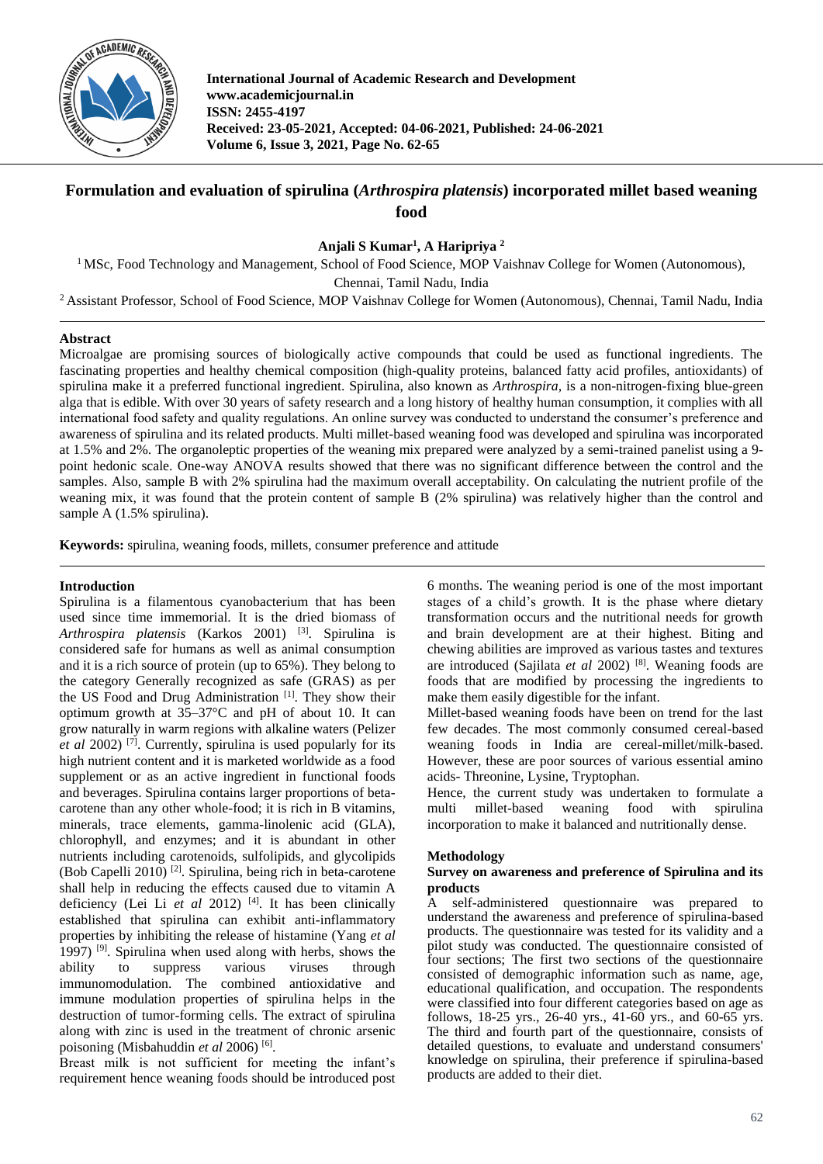

**International Journal of Academic Research and Development www.academicjournal.in ISSN: 2455-4197 Received: 23-05-2021, Accepted: 04-06-2021, Published: 24-06-2021 Volume 6, Issue 3, 2021, Page No. 62-65**

# **Formulation and evaluation of spirulina (***Arthrospira platensis***) incorporated millet based weaning food**

**Anjali S Kumar<sup>1</sup> , A Haripriya <sup>2</sup>**

<sup>1</sup> MSc, Food Technology and Management, School of Food Science, MOP Vaishnav College for Women (Autonomous), Chennai, Tamil Nadu, India

<sup>2</sup> Assistant Professor, School of Food Science, MOP Vaishnav College for Women (Autonomous), Chennai, Tamil Nadu, India

# **Abstract**

Microalgae are promising sources of biologically active compounds that could be used as functional ingredients. The fascinating properties and healthy chemical composition (high-quality proteins, balanced fatty acid profiles, antioxidants) of spirulina make it a preferred functional ingredient. Spirulina, also known as *Arthrospira,* is a non-nitrogen-fixing blue-green alga that is edible. With over 30 years of safety research and a long history of healthy human consumption, it complies with all international food safety and quality regulations. An online survey was conducted to understand the consumer's preference and awareness of spirulina and its related products. Multi millet-based weaning food was developed and spirulina was incorporated at 1.5% and 2%. The organoleptic properties of the weaning mix prepared were analyzed by a semi-trained panelist using a 9 point hedonic scale. One-way ANOVA results showed that there was no significant difference between the control and the samples. Also, sample B with 2% spirulina had the maximum overall acceptability. On calculating the nutrient profile of the weaning mix, it was found that the protein content of sample B (2% spirulina) was relatively higher than the control and sample A (1.5% spirulina).

**Keywords:** spirulina, weaning foods, millets, consumer preference and attitude

# **Introduction**

Spirulina is a filamentous cyanobacterium that has been used since time immemorial. It is the dried biomass of *Arthrospira platensis* (Karkos 2001) [3]. Spirulina is considered safe for humans as well as animal consumption and it is a rich source of protein (up to 65%). They belong to the category Generally recognized as safe (GRAS) as per the US Food and Drug Administration [1]. They show their optimum growth at 35–37°C and pH of about 10. It can grow naturally in warm regions with alkaline waters (Pelizer *et al* 2002) [7] . Currently, spirulina is used popularly for its high nutrient content and it is marketed worldwide as a food supplement or as an active ingredient in functional foods and beverages. Spirulina contains larger proportions of betacarotene than any other whole-food; it is rich in B vitamins, minerals, trace elements, gamma-linolenic acid (GLA), chlorophyll, and enzymes; and it is abundant in other nutrients including carotenoids, sulfolipids, and glycolipids (Bob Capelli 2010)<sup>[2]</sup>. Spirulina, being rich in beta-carotene shall help in reducing the effects caused due to vitamin A deficiency (Lei Li *et al* 2012) [4]. It has been clinically established that spirulina can exhibit anti-inflammatory properties by inhibiting the release of histamine (Yang *et al* 1997) <sup>[9]</sup>. Spirulina when used along with herbs, shows the ability to suppress various viruses through immunomodulation. The combined antioxidative and immune modulation properties of spirulina helps in the destruction of tumor-forming cells. The extract of spirulina along with zinc is used in the treatment of chronic arsenic poisoning (Misbahuddin et al 2006)<sup>[6]</sup>.

Breast milk is not sufficient for meeting the infant's requirement hence weaning foods should be introduced post

6 months. The weaning period is one of the most important stages of a child's growth. It is the phase where dietary transformation occurs and the nutritional needs for growth and brain development are at their highest. Biting and chewing abilities are improved as various tastes and textures are introduced (Sajilata *et al* 2002) [8]. Weaning foods are foods that are modified by processing the ingredients to make them easily digestible for the infant.

Millet-based weaning foods have been on trend for the last few decades. The most commonly consumed cereal-based weaning foods in India are cereal-millet/milk-based. However, these are poor sources of various essential amino acids- Threonine, Lysine, Tryptophan.

Hence, the current study was undertaken to formulate a multi millet-based weaning food with spirulina incorporation to make it balanced and nutritionally dense.

## **Methodology**

## **Survey on awareness and preference of Spirulina and its products**

A self-administered questionnaire was prepared to understand the awareness and preference of spirulina-based products. The questionnaire was tested for its validity and a pilot study was conducted. The questionnaire consisted of four sections; The first two sections of the questionnaire consisted of demographic information such as name, age, educational qualification, and occupation. The respondents were classified into four different categories based on age as follows, 18-25 yrs., 26-40 yrs., 41-60 yrs., and 60-65 yrs. The third and fourth part of the questionnaire, consists of detailed questions, to evaluate and understand consumers' knowledge on spirulina, their preference if spirulina-based products are added to their diet.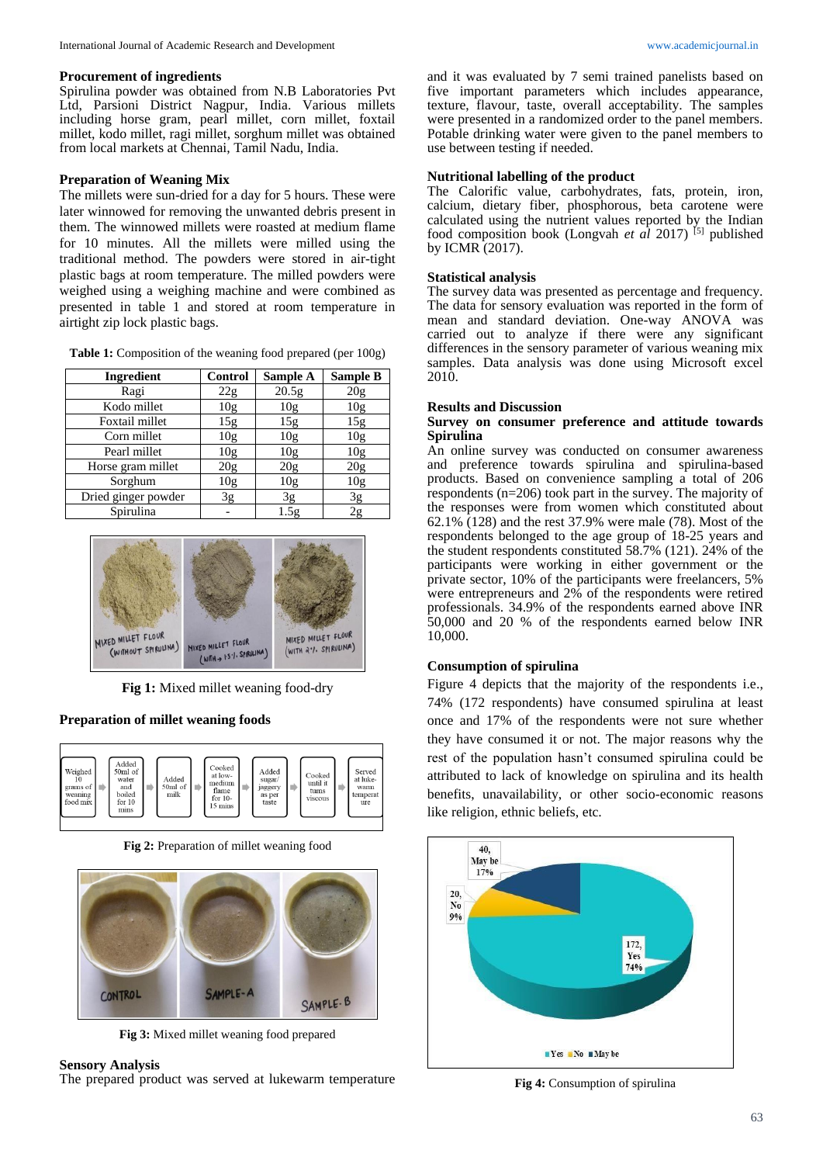#### **Procurement of ingredients**

Spirulina powder was obtained from N.B Laboratories Pvt Ltd, Parsioni District Nagpur, India. Various millets including horse gram, pearl millet, corn millet, foxtail millet, kodo millet, ragi millet, sorghum millet was obtained from local markets at Chennai, Tamil Nadu, India.

## **Preparation of Weaning Mix**

The millets were sun-dried for a day for 5 hours. These were later winnowed for removing the unwanted debris present in them. The winnowed millets were roasted at medium flame for 10 minutes. All the millets were milled using the traditional method. The powders were stored in air-tight plastic bags at room temperature. The milled powders were weighed using a weighing machine and were combined as presented in table 1 and stored at room temperature in airtight zip lock plastic bags.

**Table 1:** Composition of the weaning food prepared (per 100g)

| Ingredient          | Control         | Sample A        | <b>Sample B</b> |  |
|---------------------|-----------------|-----------------|-----------------|--|
| Ragi                | 22g             | 20.5g           | 20 <sub>g</sub> |  |
| Kodo millet         | 10 <sub>g</sub> | 10 <sub>g</sub> | 10 <sub>g</sub> |  |
| Foxtail millet      | 15g             | 15g             | 15g             |  |
| Corn millet         | 10g             | 10g             | 10g             |  |
| Pearl millet        | 10g             | 10g             | 10g             |  |
| Horse gram millet   | 20 <sub>g</sub> | 20 <sub>g</sub> | 20 <sub>g</sub> |  |
| Sorghum             | 10 <sub>g</sub> | 10 <sub>g</sub> | 10 <sub>g</sub> |  |
| Dried ginger powder | 3g              | 3g              | 3g              |  |
| Spirulina           |                 | 1.5g            | 2g              |  |



**Fig 1:** Mixed millet weaning food-dry

## **Preparation of millet weaning foods**



**Fig 2:** Preparation of millet weaning food



**Fig 3:** Mixed millet weaning food prepared

## **Sensory Analysis**

The prepared product was served at lukewarm temperature

and it was evaluated by 7 semi trained panelists based on five important parameters which includes appearance, texture, flavour, taste, overall acceptability. The samples were presented in a randomized order to the panel members. Potable drinking water were given to the panel members to use between testing if needed.

## **Nutritional labelling of the product**

The Calorific value, carbohydrates, fats, protein, iron, calcium, dietary fiber, phosphorous, beta carotene were calculated using the nutrient values reported by the Indian food composition book (Longvah *et al* 2017) [5] published by ICMR (2017).

## **Statistical analysis**

The survey data was presented as percentage and frequency. The data for sensory evaluation was reported in the form of mean and standard deviation. One-way ANOVA was carried out to analyze if there were any significant differences in the sensory parameter of various weaning mix samples. Data analysis was done using Microsoft excel 2010.

#### **Results and Discussion**

## **Survey on consumer preference and attitude towards Spirulina**

An online survey was conducted on consumer awareness and preference towards spirulina and spirulina-based products. Based on convenience sampling a total of 206 respondents (n=206) took part in the survey. The majority of the responses were from women which constituted about 62.1% (128) and the rest 37.9% were male (78). Most of the respondents belonged to the age group of 18-25 years and the student respondents constituted 58.7% (121). 24% of the participants were working in either government or the private sector, 10% of the participants were freelancers, 5% were entrepreneurs and 2% of the respondents were retired professionals. 34.9% of the respondents earned above INR 50,000 and 20 % of the respondents earned below INR 10,000.

## **Consumption of spirulina**

Figure 4 depicts that the majority of the respondents i.e., 74% (172 respondents) have consumed spirulina at least once and 17% of the respondents were not sure whether they have consumed it or not. The major reasons why the rest of the population hasn't consumed spirulina could be attributed to lack of knowledge on spirulina and its health benefits, unavailability, or other socio-economic reasons like religion, ethnic beliefs, etc.



**Fig 4:** Consumption of spirulina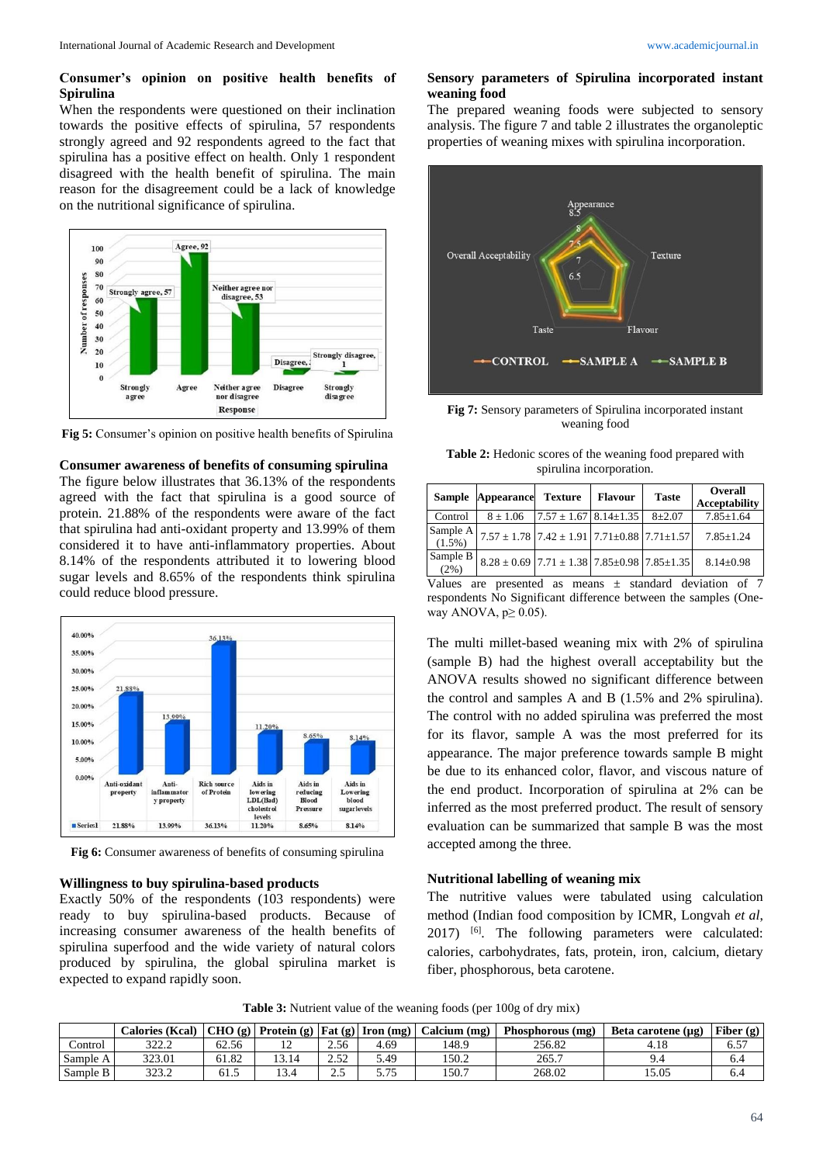# **Consumer's opinion on positive health benefits of Spirulina**

When the respondents were questioned on their inclination towards the positive effects of spirulina, 57 respondents strongly agreed and 92 respondents agreed to the fact that spirulina has a positive effect on health. Only 1 respondent disagreed with the health benefit of spirulina. The main reason for the disagreement could be a lack of knowledge on the nutritional significance of spirulina.



**Fig 5:** Consumer's opinion on positive health benefits of Spirulina

## **Consumer awareness of benefits of consuming spirulina**

The figure below illustrates that 36.13% of the respondents agreed with the fact that spirulina is a good source of protein. 21.88% of the respondents were aware of the fact that spirulina had anti-oxidant property and 13.99% of them considered it to have anti-inflammatory properties. About 8.14% of the respondents attributed it to lowering blood sugar levels and 8.65% of the respondents think spirulina could reduce blood pressure.



**Fig 6:** Consumer awareness of benefits of consuming spirulina

#### **Willingness to buy spirulina-based products**

Exactly 50% of the respondents (103 respondents) were ready to buy spirulina-based products. Because of increasing consumer awareness of the health benefits of spirulina superfood and the wide variety of natural colors produced by spirulina, the global spirulina market is expected to expand rapidly soon.

#### **Sensory parameters of Spirulina incorporated instant weaning food**

The prepared weaning foods were subjected to sensory analysis. The figure 7 and table 2 illustrates the organoleptic properties of weaning mixes with spirulina incorporation.



**Fig 7:** Sensory parameters of Spirulina incorporated instant weaning food

| <b>Table 2:</b> Hedonic scores of the weaning food prepared with |  |
|------------------------------------------------------------------|--|
| spirulina incorporation.                                         |  |

|                       | Sample Appearance                                               | <b>Texture</b>                  | <b>Flavour</b> | <b>Taste</b> | <b>Overall</b><br><b>Acceptability</b> |  |
|-----------------------|-----------------------------------------------------------------|---------------------------------|----------------|--------------|----------------------------------------|--|
| Control               | $8 \pm 1.06$                                                    | $7.57 \pm 1.67$ 8.14 $\pm$ 1.35 |                | $8 + 2.07$   | $7.85 \pm 1.64$                        |  |
| Sample A<br>$(1.5\%)$ | $7.57 \pm 1.78$ 7.42 $\pm$ 1.91 7.71 $\pm$ 0.88 7.71 $\pm$ 1.57 |                                 |                |              | $7.85 + 1.24$                          |  |
| Sample B<br>(2%)      | $8.28 \pm 0.69$ 7.71 $\pm$ 1.38 7.85 $\pm$ 0.98 7.85 $\pm$ 1.35 |                                 |                |              | $8.14 + 0.98$                          |  |

Values are presented as means  $\pm$  standard deviation of 7 respondents No Significant difference between the samples (Oneway ANOVA,  $p \geq 0.05$ ).

The multi millet-based weaning mix with 2% of spirulina (sample B) had the highest overall acceptability but the ANOVA results showed no significant difference between the control and samples A and B (1.5% and 2% spirulina). The control with no added spirulina was preferred the most for its flavor, sample A was the most preferred for its appearance. The major preference towards sample B might be due to its enhanced color, flavor, and viscous nature of the end product. Incorporation of spirulina at 2% can be inferred as the most preferred product. The result of sensory evaluation can be summarized that sample B was the most accepted among the three.

# **Nutritional labelling of weaning mix**

The nutritive values were tabulated using calculation method (Indian food composition by ICMR, Longvah *et al*, 2017) <sup>[6]</sup>. The following parameters were calculated: calories, carbohydrates, fats, protein, iron, calcium, dietary fiber, phosphorous, beta carotene.

**Table 3:** Nutrient value of the weaning foods (per 100g of dry mix)

|          | Calories (Kcal) |       | CHO (g)   Protein (g)   Fat (g)   Iron (mg) |          |              | Calcium (mg) | Phosphorous (mg) | Beta carotene $(\mu g)$ | Fiber $(g)$ |
|----------|-----------------|-------|---------------------------------------------|----------|--------------|--------------|------------------|-------------------------|-------------|
| Control  | 2222<br>ے ۔ ے ر | 62.56 | ∸                                           | 2.56     | 4.69         | 148.9        | 256.82           | 4.18                    | 6.57        |
| Sample A | 323.01          | 61.82 |                                             | ے رہے    | 5.49         | 150.2        | 265.7            |                         | O.4         |
| Sample B | 323.2           | 61.5  | 13.4                                        | -<br>ت ک | 5 75<br>J.IJ | 150.7        | 268.02           | 5.05                    | 0.4         |